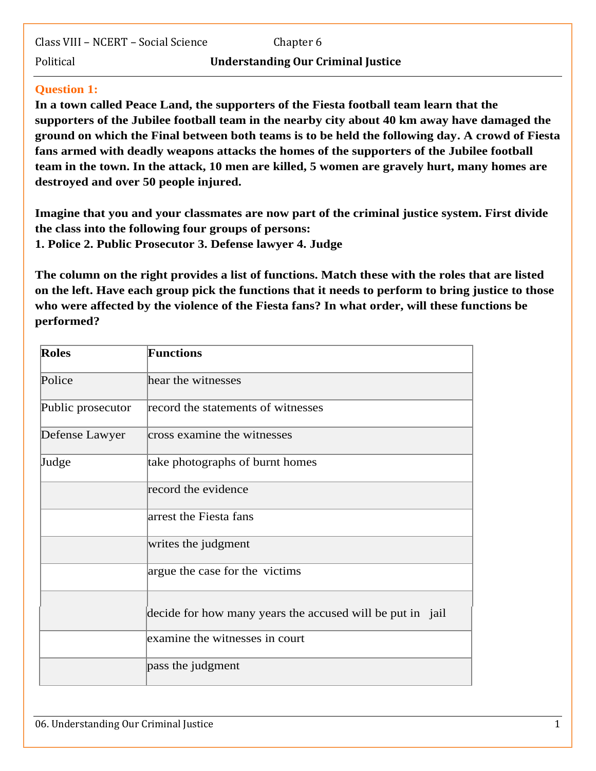Class VIII – NCERT – Social Science Chapter 6

#### Political **Understanding Our Criminal Justice**

# **Question 1:**

**In a town called Peace Land, the supporters of the Fiesta football team learn that the supporters of the Jubilee football team in the nearby city about 40 km away have damaged the ground on which the Final between both teams is to be held the following day. A crowd of Fiesta fans armed with deadly weapons attacks the homes of the supporters of the Jubilee football team in the town. In the attack, 10 men are killed, 5 women are gravely hurt, many homes are destroyed and over 50 people injured.**

**Imagine that you and your classmates are now part of the criminal justice system. First divide the class into the following four groups of persons: 1. Police 2. Public Prosecutor 3. Defense lawyer 4. Judge**

**The column on the right provides a list of functions. Match these with the roles that are listed on the left. Have each group pick the functions that it needs to perform to bring justice to those who were affected by the violence of the Fiesta fans? In what order, will these functions be performed?**

| <b>Roles</b>      | <b>Functions</b>                                          |
|-------------------|-----------------------------------------------------------|
| Police            | hear the witnesses                                        |
| Public prosecutor | record the statements of witnesses                        |
| Defense Lawyer    | cross examine the witnesses                               |
| Judge             | take photographs of burnt homes                           |
|                   | record the evidence                                       |
|                   | arrest the Fiesta fans                                    |
|                   | writes the judgment                                       |
|                   | argue the case for the victims                            |
|                   | decide for how many years the accused will be put in jail |
|                   | examine the witnesses in court                            |
|                   | pass the judgment                                         |